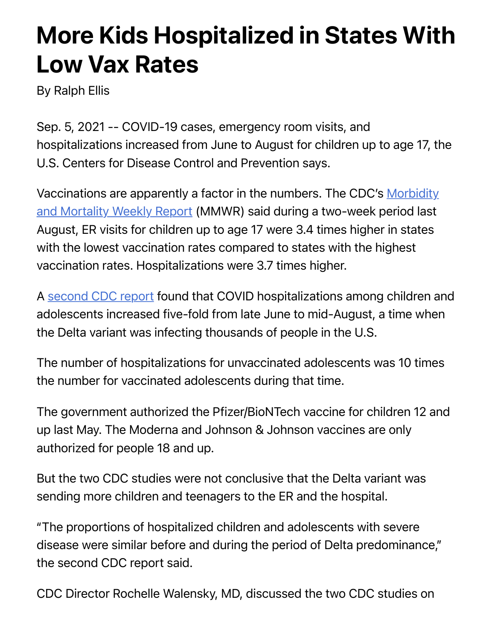## More Kids Hospitalized in States With Low Vax Rates

By Ralph Ellis

Sep. 5, 2021 -- COVID-19 cases, emergency room visits, and hospitalizations increased from June to August for children up to age 17, the U.S. Centers for Disease Control and Prevention says.

[Vaccinations are apparently a factor in the numbers. The CDC's Morbidity](https://www.cdc.gov/mmwr/volumes/70/wr/mm7036e1.htm?s_cid=mm7036e1_w) and Mortality Weekly Report (MMWR) said during a two-week period last August, ER visits for children up to age 17 were 3.4 times higher in states with the lowest vaccination rates compared to states with the highest vaccination rates. Hospitalizations were 3.7 times higher.

A [second CDC report](https://www.cdc.gov/mmwr/volumes/70/wr/mm7036e2.htm?s_cid=mm7036e2_w) found that COVID hospitalizations among children and adolescents increased five-fold from late June to mid-August, a time when the Delta variant was infecting thousands of people in the U.S.

The number of hospitalizations for unvaccinated adolescents was 10 times the number for vaccinated adolescents during that time.

The government authorized the Pfizer/BioNTech vaccine for children 12 and up last May. The Moderna and Johnson & Johnson vaccines are only authorized for people 18 and up.

But the two CDC studies were not conclusive that the Delta variant was sending more children and teenagers to the ER and the hospital.

"The proportions of hospitalized children and adolescents with severe disease were similar before and during the period of Delta predominance," the second CDC report said.

CDC Director Rochelle Walensky, MD, discussed the two CDC studies on